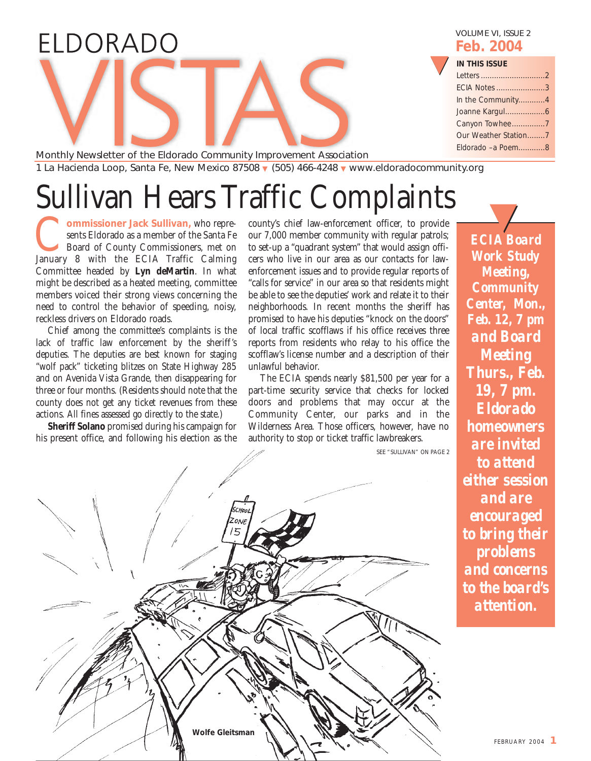## ELDORADO

VOLUME VI, ISSUE 2 **Feb. 2004**

## **IN THIS ISSUE**

| IN THIS ISSUE        |  |
|----------------------|--|
|                      |  |
| ECIA Notes 3         |  |
| In the Community4    |  |
|                      |  |
| Canyon Towhee7       |  |
| Our Weather Station7 |  |
| Eldorado - a Poem8   |  |
|                      |  |

Monthly Newsletter of the Eldorado Community Improvement Association 1 La Hacienda Loop, Santa Fe, New Mexico 87508 ▼ (505) 466-4248 ▼ www.eldoradocommunity.org

# Sullivan Hears Traffic Complaints

**Wolfe Gleitsman**

**Commissioner Jack Sullivan**, who represents Eldorado as a member of the Santa Fe Board of County Commissioners, met on January 8 with the ECIA Traffic Calming sents Eldorado as a member of the Santa Fe Board of County Commissioners, met on Committee headed by **Lyn deMartin**. In what might be described as a heated meeting, committee members voiced their strong views concerning the need to control the behavior of speeding, noisy, reckless drivers on Eldorado roads.

Chief among the committee's complaints is the lack of traffic law enforcement by the sheriff's deputies. The deputies are best known for staging "wolf pack" ticketing blitzes on State Highway 285 and on Avenida Vista Grande, then disappearing for three or four months. (Residents should note that the county does not get any ticket revenues from these actions. All fines assessed go directly to the state.)

**Sheriff Solano** promised during his campaign for his present office, and following his election as the county's chief law-enforcement officer, to provide our 7,000 member community with regular patrols; to set-up a "quadrant system" that would assign officers who live in our area as our contacts for lawenforcement issues and to provide regular reports of "calls for service" in our area so that residents might be able to see the deputies' work and relate it to their neighborhoods. In recent months the sheriff has promised to have his deputies "knock on the doors" of local traffic scofflaws if his office receives three reports from residents who relay to his office the scofflaw's license number and a description of their unlawful behavior.

The ECIA spends nearly \$81,500 per year for a part-time security service that checks for locked doors and problems that may occur at the Community Center, our parks and in the Wilderness Area. Those officers, however, have no authority to stop or ticket traffic lawbreakers.

SEE "SULLIVAN" ON PAGE 2

*ECIA Board Work Study Meeting, Community Center, Mon., Feb. 12, 7 pm and Board Meeting Thurs., Feb. 19, 7 pm. Eldorado homeowners are invited to attend either session and are encouraged to bring their problems and concerns to the board's attention.*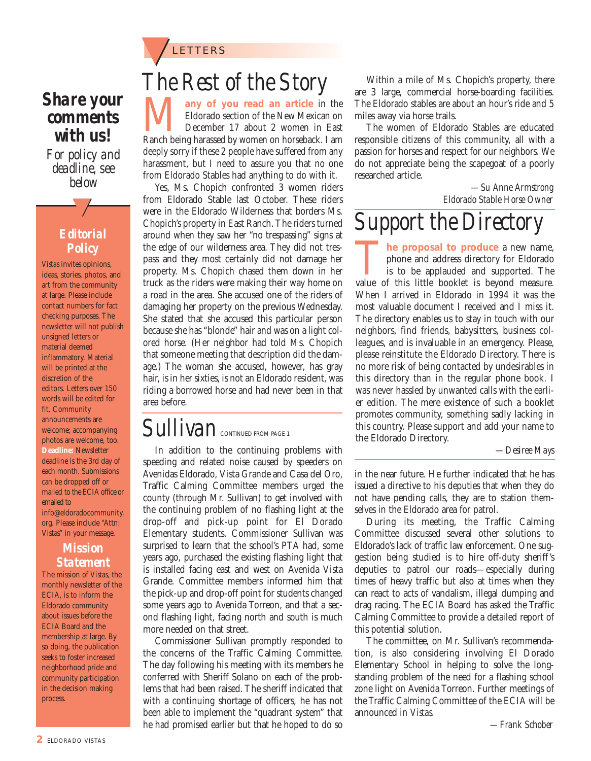

## *Share your comments with us!*

*For policy and deadline, see below*

## *Editorial Policy*

<u>ー</u>ノ

*Vistas* invites opinions, ideas, stories, photos, and art from the community at large. Please include contact numbers for fact checking purposes. The newsletter will not publish unsigned letters or material deemed inflammatory. Material will be printed at the discretion of the editors. Letters over 150 words will be edited for fit. Community announcements are welcome; accompanying photos are welcome, too. **Deadline:** Newsletter deadline is the 3rd day of each month. Submissions can be dropped off or mailed to the ECIA office or emailed to info@eldoradocommunity. org. Please include "Attn: Vistas" in your message.

## *Mission Statement*

The mission of *Vistas*, the monthly newsletter of the ECIA, is to inform the Eldorado community about issues before the ECIA Board and the membership at large. By so doing, the publication seeks to foster increased neighborhood pride and community participation in the decision making process.

## *The Rest of the Story*

**Many of you read an article** in the Eldorado section of the New Mexican on December 17 about 2 women in East Ranch being harassed by women on horseback. I am Eldorado section of the New Mexican on December 17 about 2 women in East deeply sorry if these 2 people have suffered from any harassment, but I need to assure you that no one from Eldorado Stables had anything to do with it.

Yes, Ms. Chopich confronted 3 women riders from Eldorado Stable last October. These riders were in the Eldorado Wilderness that borders Ms. Chopich's property in East Ranch. The riders turned around when they saw her "no trespassing" signs at the edge of our wilderness area. They did not trespass and they most certainly did not damage her property. Ms. Chopich chased them down in her truck as the riders were making their way home on a road in the area. She accused one of the riders of damaging her property on the previous Wednesday. She stated that she accused this particular person because she has "blonde" hair and was on a light colored horse. (Her neighbor had told Ms. Chopich that someone meeting that description did the damage.) The woman she accused, however, has gray hair, is in her sixties, is not an Eldorado resident, was riding a borrowed horse and had never been in that area before.

## $S$ *ullivan* CONTINUED FROM PAGE 1

In addition to the continuing problems with speeding and related noise caused by speeders on Avenidas Eldorado, Vista Grande and Casa del Oro, Traffic Calming Committee members urged the county (through Mr. Sullivan) to get involved with the continuing problem of no flashing light at the drop-off and pick-up point for El Dorado Elementary students. Commissioner Sullivan was surprised to learn that the school's PTA had, some years ago, purchased the existing flashing light that is installed facing east and west on Avenida Vista Grande. Committee members informed him that the pick-up and drop-off point for students changed some years ago to Avenida Torreon, and that a second flashing light, facing north and south is much more needed on that street.

Commissioner Sullivan promptly responded to the concerns of the Traffic Calming Committee. The day following his meeting with its members he conferred with Sheriff Solano on each of the problems that had been raised. The sheriff indicated that with a continuing shortage of officers, he has not been able to implement the "quadrant system" that he had promised earlier but that he hoped to do so

Within a mile of Ms. Chopich's property, there are 3 large, commercial horse-boarding facilities. The Eldorado stables are about an hour's ride and 5 miles away via horse trails.

The women of Eldorado Stables are educated responsible citizens of this community, all with a passion for horses and respect for our neighbors. We do not appreciate being the scapegoat of a poorly researched article.

> *—Su Anne Armstrong Eldorado Stable Horse Owner*

## *Support the Directory*

**The proposal to produce** a new name, phone and address directory for Eldorado is to be applauded and supported. The value of this little booklet is beyond measure. phone and address directory for Eldorado is to be applauded and supported. The When I arrived in Eldorado in 1994 it was the most valuable document I received and I miss it. The directory enables us to stay in touch with our neighbors, find friends, babysitters, business colleagues, and is invaluable in an emergency. Please, please reinstitute the Eldorado Directory. There is no more risk of being contacted by undesirables in this directory than in the regular phone book. I was never hassled by unwanted calls with the earlier edition. The mere existence of such a booklet promotes community, something sadly lacking in this country. Please support and add your name to the Eldorado Directory.

*—Desiree Mays*

in the near future. He further indicated that he has issued a directive to his deputies that when they do not have pending calls, they are to station themselves in the Eldorado area for patrol.

During its meeting, the Traffic Calming Committee discussed several other solutions to Eldorado's lack of traffic law enforcement. One suggestion being studied is to hire off-duty sheriff's deputies to patrol our roads—especially during times of heavy traffic but also at times when they can react to acts of vandalism, illegal dumping and drag racing. The ECIA Board has asked the Traffic Calming Committee to provide a detailed report of this potential solution.

The committee, on Mr. Sullivan's recommendation, is also considering involving El Dorado Elementary School in helping to solve the longstanding problem of the need for a flashing school zone light on Avenida Torreon. Further meetings of the Traffic Calming Committee of the ECIA will be announced in *Vistas*.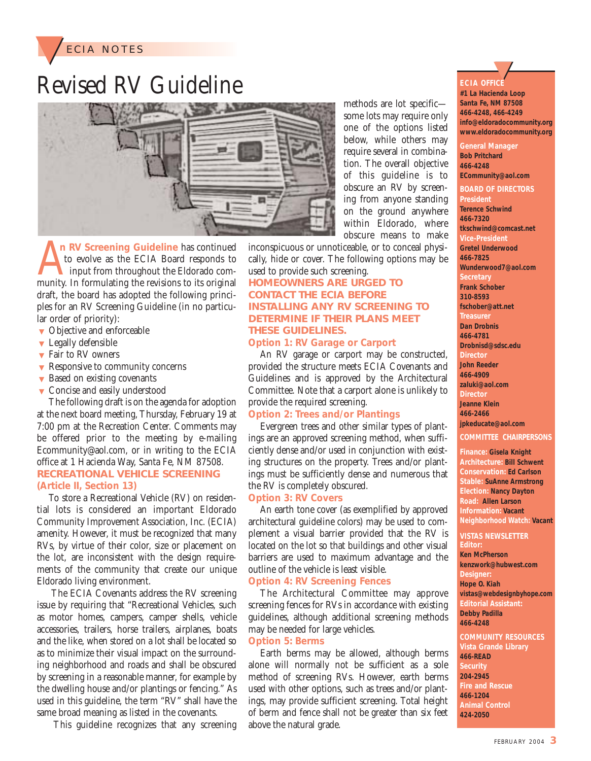

## Revised RV Guideline



methods are lot specific some lots may require only one of the options listed below, while others may require several in combination. The overall objective of this guideline is to obscure an RV by screening from anyone standing on the ground anywhere within Eldorado, where obscure means to make

A In RV Screening Guideline has continued<br>to evolve as the ECIA Board responds to<br>input from throughout the Eldorado com-<br>munity. In formulating the revisions to its original **n RV Screening Guideline** has continued to evolve as the ECIA Board responds to input from throughout the Eldorado comdraft, the board has adopted the following principles for an RV Screening Guideline (in no particular order of priority):

- ▼ Objective and enforceable
- ▼ Legally defensible
- ▼ Fair to RV owners
- ▼ Responsive to community concerns
- ▼ Based on existing covenants
- ▼ Concise and easily understood

The following draft is on the agenda for adoption at the next board meeting, Thursday, February 19 at 7:00 pm at the Recreation Center. Comments may be offered prior to the meeting by e-mailing Ecommunity@aol.com, or in writing to the ECIA office at 1 Hacienda Way, Santa Fe, NM 87508. **RECREATIONAL VEHICLE SCREENING (Article II, Section 13)** 

To store a Recreational Vehicle (RV) on residential lots is considered an important Eldorado Community Improvement Association, Inc. (ECIA) amenity. However, it must be recognized that many RVs, by virtue of their color, size or placement on the lot, are inconsistent with the design requirements of the community that create our unique Eldorado living environment.

The ECIA Covenants address the RV screening issue by requiring that "Recreational Vehicles, such as motor homes, campers, camper shells, vehicle accessories, trailers, horse trailers, airplanes, boats and the like, when stored on a lot shall be located so as to minimize their visual impact on the surrounding neighborhood and roads and shall be obscured by screening in a reasonable manner, for example by the dwelling house and/or plantings or fencing." As used in this guideline, the term "RV" shall have the same broad meaning as listed in the covenants.

This guideline recognizes that any screening

inconspicuous or unnoticeable, or to conceal physically, hide or cover. The following options may be used to provide such screening.

## **HOMEOWNERS ARE URGED TO CONTACT THE ECIA BEFORE INSTALLING ANY RV SCREENING TO DETERMINE IF THEIR PLANS MEET THESE GUIDELINES.**

**Option 1: RV Garage or Carport** 

An RV garage or carport may be constructed, provided the structure meets ECIA Covenants and Guidelines and is approved by the Architectural Committee. Note that a carport alone is unlikely to provide the required screening.

## **Option 2: Trees and/or Plantings**

Evergreen trees and other similar types of plantings are an approved screening method, when sufficiently dense and/or used in conjunction with existing structures on the property. Trees and/or plantings must be sufficiently dense and numerous that the RV is completely obscured.

### **Option 3: RV Covers**

An earth tone cover (as exemplified by approved architectural guideline colors) may be used to complement a visual barrier provided that the RV is located on the lot so that buildings and other visual barriers are used to maximum advantage and the outline of the vehicle is least visible.

### **Option 4: RV Screening Fences**

The Architectural Committee may approve screening fences for RVs in accordance with existing guidelines, although additional screening methods may be needed for large vehicles.

### **Option 5: Berms**

Earth berms may be allowed, although berms alone will normally not be sufficient as a sole method of screening RVs. However, earth berms used with other options, such as trees and/or plantings, may provide sufficient screening. Total height of berm and fence shall not be greater than six feet above the natural grade.

## **ECIA OFFICE**  <u>ー</u>ノ

**#1 La Hacienda Loop Santa Fe, NM 87508 466-4248, 466-4249 info@eldoradocommunity.org www.eldoradocommunity.org**

**General Manager Bob Pritchard 466-4248 ECommunity@aol.com BOARD OF DIRECTORS President Terence Schwind 466-7320 tkschwind@comcast.net Vice-President Gretel Underwood 466-7825 Wunderwood7@aol.com Secretary Frank Schober 310-8593 fschober@att.net Treasurer Dan Drobnis 466-4781 Drobnisd@sdsc.edu Director John Reeder 466-4909 zaluki@aol.com Director Jeanne Klein 466-2466 jpkeducate@aol.com** 

**COMMITTEE CHAIRPERSONS**

**Finance: Gisela Knight Architecture: Bill Schwent Conservation: Ed Carlson Stable: SuAnne Armstrong Election: Nancy Dayton Road: Allen Larson Information: Vacant Neighborhood Watch: Vacant**

### **VISTAS NEWSLETTER**

**Editor: Ken McPherson kenzwork@hubwest.com Designer: Hope O. Kiah vistas@webdesignbyhope.com Editorial Assistant: Debby Padilla 466-4248**

**COMMUNITY RESOURCES Vista Grande Library 466-READ Security 204-2945 Fire and Rescue 466-1204 Animal Control 424-2050**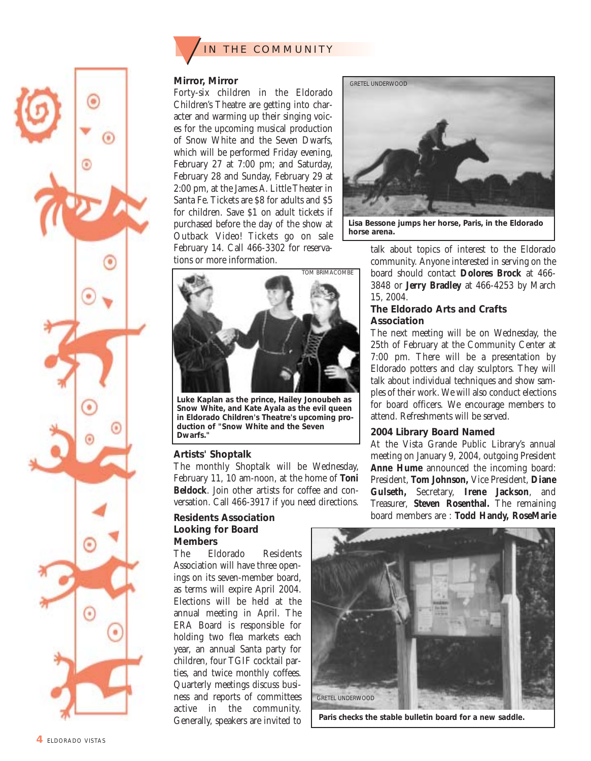

### **Mirror, Mirror**

Forty-six children in the Eldorado Children's Theatre are getting into character and warming up their singing voices for the upcoming musical production of Snow White and the Seven Dwarfs, which will be performed Friday evening, February 27 at 7:00 pm; and Saturday, February 28 and Sunday, February 29 at 2:00 pm, at the James A. Little Theater in Santa Fe. Tickets are \$8 for adults and \$5 for children. Save \$1 on adult tickets if purchased before the day of the show at Outback Video! Tickets go on sale February 14. Call 466-3302 for reservations or more information.



**Lisa Bessone jumps her horse, Paris, in the Eldorado horse arena.**

talk about topics of interest to the Eldorado community. Anyone interested in serving on the board should contact **Dolores Brock** at 466- 3848 or **Jerry Bradley** at 466-4253 by March 15, 2004.

### **The Eldorado Arts and Crafts Association**

The next meeting will be on Wednesday, the 25th of February at the Community Center at 7:00 pm. There will be a presentation by Eldorado potters and clay sculptors. They will talk about individual techniques and show samples of their work. We will also conduct elections for board officers. We encourage members to attend. Refreshments will be served.

### **2004 Library Board Named**

At the Vista Grande Public Library's annual meeting on January 9, 2004, outgoing President **Anne Hume** announced the incoming board: President, **Tom Johnson,** Vice President, **Diane Gulseth,** Secretary, **Irene Jackson**, and Treasurer, **Steven Rosenthal.** The remaining board members are : **Todd Handy, RoseMarie**



**Paris checks the stable bulletin board for a new saddle.**



**Luke Kaplan as the prince, Hailey Jonoubeh as Snow White, and Kate Ayala as the evil queen in Eldorado Children's Theatre's upcoming production of "Snow White and the Seven Dwarfs."**

## **Artists' Shoptalk**

The monthly Shoptalk will be Wednesday, February 11, 10 am-noon, at the home of **Toni Beldock**. Join other artists for coffee and conversation. Call 466-3917 if you need directions.

## **Residents Association Looking for Board Members**

The Eldorado Residents Association will have three openings on its seven-member board, as terms will expire April 2004. Elections will be held at the annual meeting in April. The ERA Board is responsible for holding two flea markets each year, an annual Santa party for children, four TGIF cocktail parties, and twice monthly coffees. Quarterly meetings discuss business and reports of committees active in the community. Generally, speakers are invited to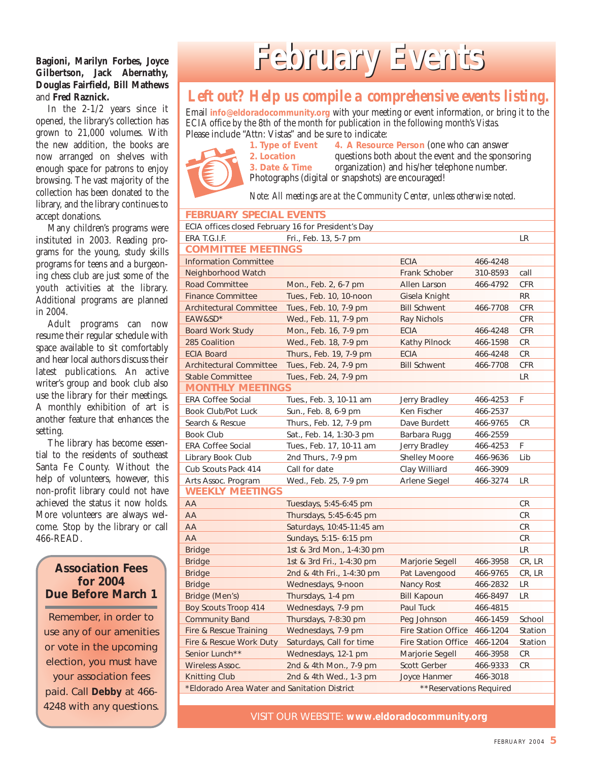## **Bagioni, Marilyn Forbes, Joyce Gilbertson, Jack Abernathy, Douglas Fairfield, Bill Mathews** and **Fred Raznick.**

In the 2-1/2 years since it opened, the library's collection has grown to 21,000 volumes. With the new addition, the books are now arranged on shelves with enough space for patrons to enjoy browsing. The vast majority of the collection has been donated to the library, and the library continues to accept donations.

Many children's programs were instituted in 2003. Reading programs for the young, study skills programs for teens and a burgeoning chess club are just some of the youth activities at the library. Additional programs are planned in 2004.

Adult programs can now resume their regular schedule with space available to sit comfortably and hear local authors discuss their latest publications. An active writer's group and book club also use the library for their meetings. A monthly exhibition of art is another feature that enhances the setting.

The library has become essential to the residents of southeast Santa Fe County. Without the help of volunteers, however, this non-profit library could not have achieved the status it now holds. More volunteers are always welcome. Stop by the library or call 466-READ.

## **Association Fees for 2004 Due Before March 1**

Remember, in order to use any of our amenities or vote in the upcoming election, you must have your association fees paid. Call **Debby** at 466- 4248 with any questions.

## **February Events ebruary Events**

## *Left out? Help us compile a comprehensive events listing.*

Email **info@eldoradocommunity.org** with your meeting or event information, or bring it to the ECIA office by the 8th of the month for publication in the following month's *Vistas.* Please include "Attn: Vistas" and be sure to indicate:<br>1. Type of Event 4. A Resource



**4. A Resource Person (one who can answer) 2. Location** questions both about the event and the sponsoring **3. Date & Time** organization) and his/her telephone number. Photographs (digital or snapshots) are encouraged!

*Note: All meetings are at the Community Center, unless otherwise noted.*

## **FEBRUARY SPECIAL EVENTS**

| ECIA offices closed February 16 for President's Day |                           |                            |          |            |  |  |
|-----------------------------------------------------|---------------------------|----------------------------|----------|------------|--|--|
| ERA T.G.I.F.                                        | Fri., Feb. 13, 5-7 pm     |                            |          | <b>LR</b>  |  |  |
| <b>COMMITTEE MEETINGS</b>                           |                           |                            |          |            |  |  |
| <b>Information Committee</b>                        | <b>ECIA</b>               | 466-4248                   |          |            |  |  |
| Neighborhood Watch                                  |                           | Frank Schober              | 310-8593 | call       |  |  |
| <b>Road Committee</b>                               | Mon., Feb. 2, 6-7 pm      | Allen Larson               | 466-4792 | <b>CFR</b> |  |  |
| <b>Finance Committee</b>                            | Tues., Feb. 10, 10-noon   | Gisela Knight              |          | <b>RR</b>  |  |  |
| <b>Architectural Committee</b>                      | Tues., Feb. 10, 7-9 pm    | <b>Bill Schwent</b>        | 466-7708 | <b>CFR</b> |  |  |
| EAW&SD*                                             | Wed., Feb. 11, 7-9 pm     | <b>Ray Nichols</b>         |          | <b>CFR</b> |  |  |
| <b>Board Work Study</b>                             | Mon., Feb. 16, 7-9 pm     | <b>ECIA</b>                | 466-4248 | <b>CFR</b> |  |  |
| 285 Coalition                                       | Wed., Feb. 18, 7-9 pm     | <b>Kathy Pilnock</b>       | 466-1598 | <b>CR</b>  |  |  |
| <b>ECIA Board</b>                                   | Thurs., Feb. 19, 7-9 pm   | <b>ECIA</b>                | 466-4248 | <b>CR</b>  |  |  |
| <b>Architectural Committee</b>                      | Tues., Feb. 24, 7-9 pm    | <b>Bill Schwent</b>        | 466-7708 | <b>CFR</b> |  |  |
| <b>Stable Committee</b>                             | Tues., Feb. 24, 7-9 pm    |                            |          | LR         |  |  |
| <b>MONTHLY MEETINGS</b>                             |                           |                            |          |            |  |  |
| <b>ERA Coffee Social</b>                            | Tues., Feb. 3, 10-11 am   | Jerry Bradley              | 466-4253 | F          |  |  |
| Book Club/Pot Luck                                  | Sun., Feb. 8, 6-9 pm      | Ken Fischer                | 466-2537 |            |  |  |
| Search & Rescue                                     | Thurs., Feb. 12, 7-9 pm   | Dave Burdett               | 466-9765 | CR.        |  |  |
| <b>Book Club</b>                                    | Sat., Feb. 14, 1:30-3 pm  | Barbara Rugg               | 466-2559 |            |  |  |
| <b>ERA Coffee Social</b>                            | Tues., Feb. 17, 10-11 am  | Jerry Bradley              | 466-4253 | F          |  |  |
| Library Book Club                                   | 2nd Thurs., 7-9 pm        | Shelley Moore              | 466-9636 | Lib        |  |  |
| Cub Scouts Pack 414                                 | Call for date             | Clay Williard              | 466-3909 |            |  |  |
| Arts Assoc. Program                                 | Wed., Feb. 25, 7-9 pm     | Arlene Siegel              | 466-3274 | LR         |  |  |
| <b>WEEKLY MEETINGS</b>                              |                           |                            |          |            |  |  |
| AA                                                  | Tuesdays, 5:45-6:45 pm    |                            |          | <b>CR</b>  |  |  |
| AA                                                  | Thursdays, 5:45-6:45 pm   |                            |          | <b>CR</b>  |  |  |
| AA                                                  | Saturdays, 10:45-11:45 am |                            |          | <b>CR</b>  |  |  |
| AA                                                  | Sundays, 5:15- 6:15 pm    |                            |          | <b>CR</b>  |  |  |
| <b>Bridge</b>                                       | 1st & 3rd Mon., 1-4:30 pm |                            |          | <b>LR</b>  |  |  |
| <b>Bridge</b>                                       | 1st & 3rd Fri., 1-4:30 pm | Marjorie Segell            | 466-3958 | CR, LR     |  |  |
| <b>Bridge</b>                                       | 2nd & 4th Fri., 1-4:30 pm | Pat Lavengood              | 466-9765 | CR, LR     |  |  |
| <b>Bridge</b>                                       | Wednesdays, 9-noon        | Nancy Rost                 | 466-2832 | LR         |  |  |
| Bridge (Men's)                                      | Thursdays, 1-4 pm         | <b>Bill Kapoun</b>         | 466-8497 | <b>LR</b>  |  |  |
| <b>Boy Scouts Troop 414</b>                         | Wednesdays, 7-9 pm        | Paul Tuck                  | 466-4815 |            |  |  |
| <b>Community Band</b>                               | Thursdays, 7-8:30 pm      | Peg Johnson                | 466-1459 | School     |  |  |
| Fire & Rescue Training                              | Wednesdays, 7-9 pm        | <b>Fire Station Office</b> | 466-1204 | Station    |  |  |
| Fire & Rescue Work Duty                             | Saturdays, Call for time  | <b>Fire Station Office</b> | 466-1204 | Station    |  |  |
| Senior Lunch**                                      | Wednesdays, 12-1 pm       | Marjorie Segell            | 466-3958 | <b>CR</b>  |  |  |
| <b>Wireless Assoc.</b>                              | 2nd & 4th Mon., 7-9 pm    | <b>Scott Gerber</b>        | 466-9333 | <b>CR</b>  |  |  |
| <b>Knitting Club</b>                                | 2nd & 4th Wed., 1-3 pm    | Joyce Hanmer               | 466-3018 |            |  |  |
| *Eldorado Area Water and Sanitation District        | **Reservations Required   |                            |          |            |  |  |
|                                                     |                           |                            |          |            |  |  |

VISIT OUR WEBSITE: **www.eldoradocommunity.org**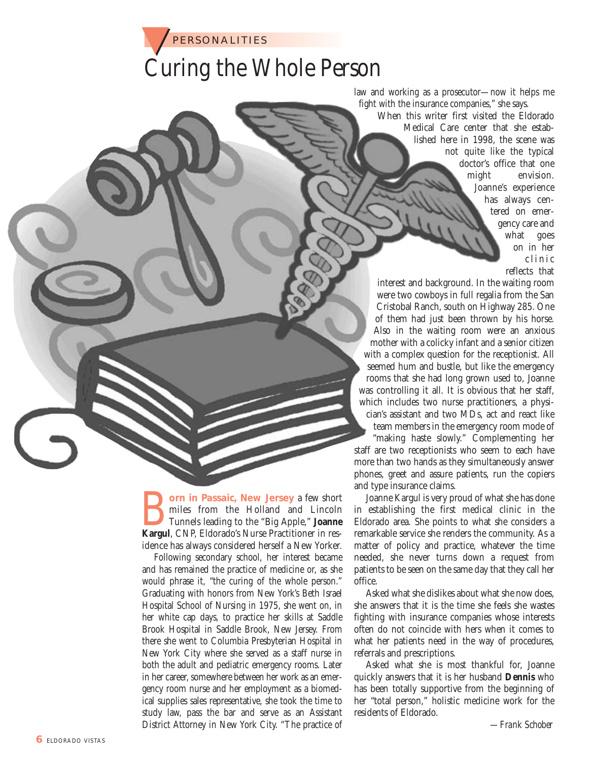

## Curing the Whole Person

law and working as a prosecutor—now it helps me fight with the insurance companies," she says.

> When this writer first visited the Eldorado Medical Care center that she established here in 1998, the scene was not quite like the typical doctor's office that one might envision. Joanne's experience has always centered on emergency care and what goes on in her clinic reflects that

interest and background. In the waiting room were two cowboys in full regalia from the San Cristobal Ranch, south on Highway 285. One of them had just been thrown by his horse. Also in the waiting room were an anxious mother with a colicky infant and a senior citizen with a complex question for the receptionist. All seemed hum and bustle, but like the emergency rooms that she had long grown used to, Joanne was controlling it all. It is obvious that her staff, which includes two nurse practitioners, a physician's assistant and two MDs, act and react like team members in the emergency room mode of "making haste slowly." Complementing her staff are two receptionists who seem to each have more than two hands as they simultaneously answer phones, greet and assure patients, run the copiers and type insurance claims.

**Born in Passaic, New Jersey** a few short<br>
Tunnels leading to the "Big Apple," Joanne<br>
Kargul, CNP, Eldorado's Nurse Practitioner in resmiles from the Holland and Lincoln Tunnels leading to the "Big Apple," **Joanne** idence has always considered herself a New Yorker.

Following secondary school, her interest became and has remained the practice of medicine or, as she would phrase it, "the curing of the whole person." Graduating with honors from New York's Beth Israel Hospital School of Nursing in 1975, she went on, in her white cap days, to practice her skills at Saddle Brook Hospital in Saddle Brook, New Jersey. From there she went to Columbia Presbyterian Hospital in New York City where she served as a staff nurse in both the adult and pediatric emergency rooms. Later in her career, somewhere between her work as an emergency room nurse and her employment as a biomedical supplies sales representative, she took the time to study law, pass the bar and serve as an Assistant District Attorney in New York City. "The practice of

Joanne Kargul is very proud of what she has done in establishing the first medical clinic in the Eldorado area. She points to what she considers a remarkable service she renders the community. As a matter of policy and practice, whatever the time needed, she never turns down a request from patients to be seen on the same day that they call her office.

Asked what she dislikes about what she now does, she answers that it is the time she feels she wastes fighting with insurance companies whose interests often do not coincide with hers when it comes to what her patients need in the way of procedures, referrals and prescriptions.

Asked what she is most thankful for, Joanne quickly answers that it is her husband **Dennis** who has been totally supportive from the beginning of her "total person," holistic medicine work for the residents of Eldorado.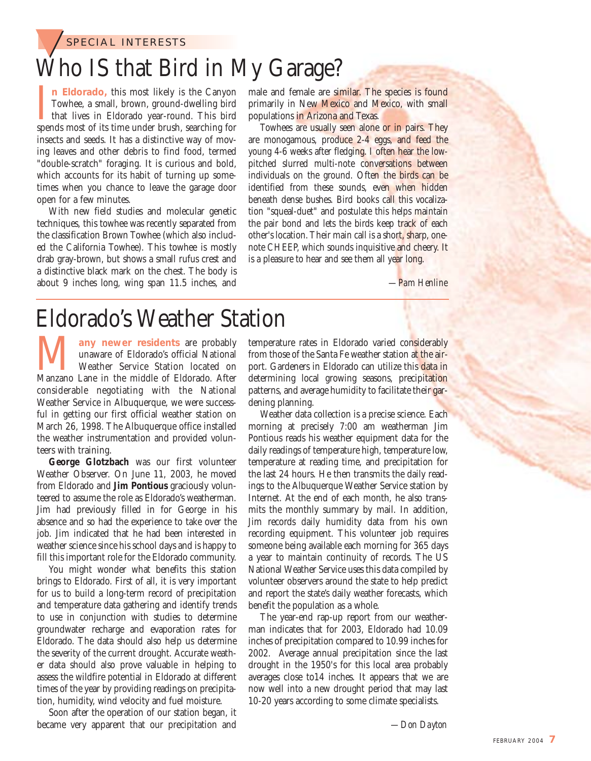

## Who IS that Bird in My Garage?

In Eldorado, this most likely is the Canyon<br>Towhee, a small, brown, ground-dwelling bird<br>that lives in Eldorado year-round. This bird<br>spends most of its time under brush, searching for **n Eldorado,** this most likely is the Canyon Towhee, a small, brown, ground-dwelling bird **L** that lives in Eldorado year-round. This bird insects and seeds. It has a distinctive way of moving leaves and other debris to find food, termed "double-scratch" foraging. It is curious and bold, which accounts for its habit of turning up sometimes when you chance to leave the garage door open for a few minutes.

With new field studies and molecular genetic techniques, this towhee was recently separated from the classification Brown Towhee (which also included the California Towhee). This towhee is mostly drab gray-brown, but shows a small rufus crest and a distinctive black mark on the chest. The body is about 9 inches long, wing span 11.5 inches, and male and female are similar. The species is found primarily in New Mexico and Mexico, with small populations in Arizona and Texas.

Towhees are usually seen alone or in pairs. They are monogamous, produce 2-4 eggs, and feed the young 4-6 weeks after fledging. I often hear the lowpitched slurred multi-note conversations between individuals on the ground. Often the birds can be identified from these sounds, even when hidden beneath dense bushes. Bird books call this vocalization "squeal-duet" and postulate this helps maintain the pair bond and lets the birds keep track of each other's location. Their main call is a short, sharp, onenote CHEEP, which sounds inquisitive and cheery. It is a pleasure to hear and see them all year long.

*—Pam Henline*

## Eldorado's Weather Station

**Many newer residents** are probably unaware of Eldorado's official National Weather Service Station located on Manzano Lane in the middle of Eldorado. After unaware of Eldorado's official National Weather Service Station located on considerable negotiating with the National Weather Service in Albuquerque, we were successful in getting our first official weather station on March 26, 1998. The Albuquerque office installed the weather instrumentation and provided volunteers with training.

**George Glotzbach** was our first volunteer Weather Observer. On June 11, 2003, he moved from Eldorado and **Jim Pontious** graciously volunteered to assume the role as Eldorado's weatherman. Jim had previously filled in for George in his absence and so had the experience to take over the job. Jim indicated that he had been interested in weather science since his school days and is happy to fill this important role for the Eldorado community.

You might wonder what benefits this station brings to Eldorado. First of all, it is very important for us to build a long-term record of precipitation and temperature data gathering and identify trends to use in conjunction with studies to determine groundwater recharge and evaporation rates for Eldorado. The data should also help us determine the severity of the current drought. Accurate weather data should also prove valuable in helping to assess the wildfire potential in Eldorado at different times of the year by providing readings on precipitation, humidity, wind velocity and fuel moisture.

Soon after the operation of our station began, it became very apparent that our precipitation and

temperature rates in Eldorado varied considerably from those of the Santa Fe weather station at the airport. Gardeners in Eldorado can utilize this data in determining local growing seasons, precipitation patterns, and average humidity to facilitate their gardening planning.

Weather data collection is a precise science. Each morning at precisely 7:00 am weatherman Jim Pontious reads his weather equipment data for the daily readings of temperature high, temperature low, temperature at reading time, and precipitation for the last 24 hours. He then transmits the daily readings to the Albuquerque Weather Service station by Internet. At the end of each month, he also transmits the monthly summary by mail. In addition, Jim records daily humidity data from his own recording equipment. This volunteer job requires someone being available each morning for 365 days a year to maintain continuity of records. The US National Weather Service uses this data compiled by volunteer observers around the state to help predict and report the state's daily weather forecasts, which benefit the population as a whole.

The year-end rap-up report from our weatherman indicates that for 2003, Eldorado had 10.09 inches of precipitation compared to 10.99 inches for 2002. Average annual precipitation since the last drought in the 1950's for this local area probably averages close to14 inches. It appears that we are now well into a new drought period that may last 10-20 years according to some climate specialists.